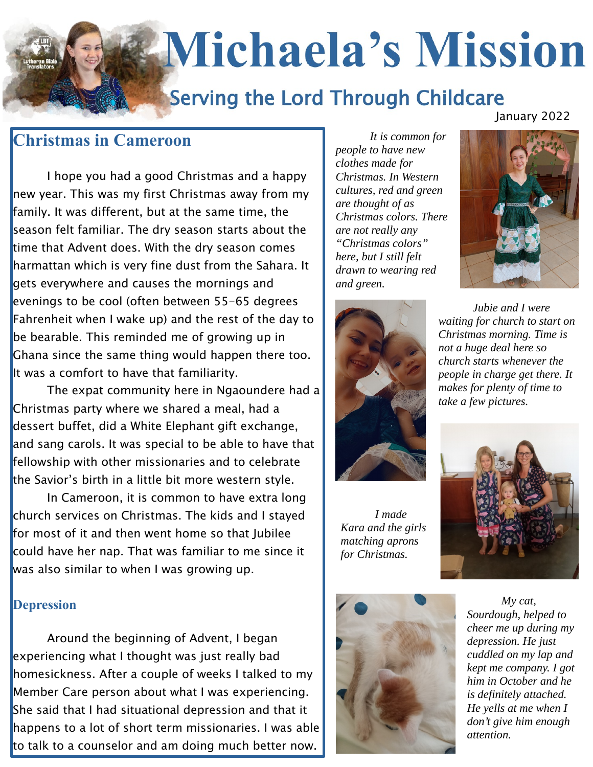# **Michaela's Mission**

## **Serving the Lord Through Childcare**

### **Christmas in Cameroon**

I hope you had a good Christmas and a happy new year. This was my first Christmas away from my family. It was different, but at the same time, the season felt familiar. The dry season starts about the time that Advent does. With the dry season comes harmattan which is very fine dust from the Sahara. It gets everywhere and causes the mornings and evenings to be cool (often between 55-65 degrees Fahrenheit when I wake up) and the rest of the day to be bearable. This reminded me of growing up in Ghana since the same thing would happen there too. It was a comfort to have that familiarity.

The expat community here in Ngaoundere had a Christmas party where we shared a meal, had a dessert buffet, did a White Elephant gift exchange, and sang carols. It was special to be able to have that fellowship with other missionaries and to celebrate the Savior's birth in a little bit more western style.

In Cameroon, it is common to have extra long church services on Christmas. The kids and I stayed for most of it and then went home so that Jubilee could have her nap. That was familiar to me since it was also similar to when I was growing up.

#### **Depression**

Around the beginning of Advent, I began experiencing what I thought was just really bad homesickness. After a couple of weeks I talked to my Member Care person about what I was experiencing. She said that I had situational depression and that it happens to a lot of short term missionaries. I was able to talk to a counselor and am doing much better now.

*It is common for people to have new clothes made for Christmas. In Western cultures, red and green are thought of as Christmas colors. There are not really any "Christmas colors" here, but I still felt drawn to wearing red and green.*

January 2022





*I made Kara and the girls matching aprons for Christmas.* 

*Jubie and I were waiting for church to start on Christmas morning. Time is not a huge deal here so church starts whenever the people in charge get there. It makes for plenty of time to take a few pictures.*





*My cat, Sourdough, helped to cheer me up during my depression. He just cuddled on my lap and kept me company. I got him in October and he is definitely attached. He yells at me when I don't give him enough attention.*